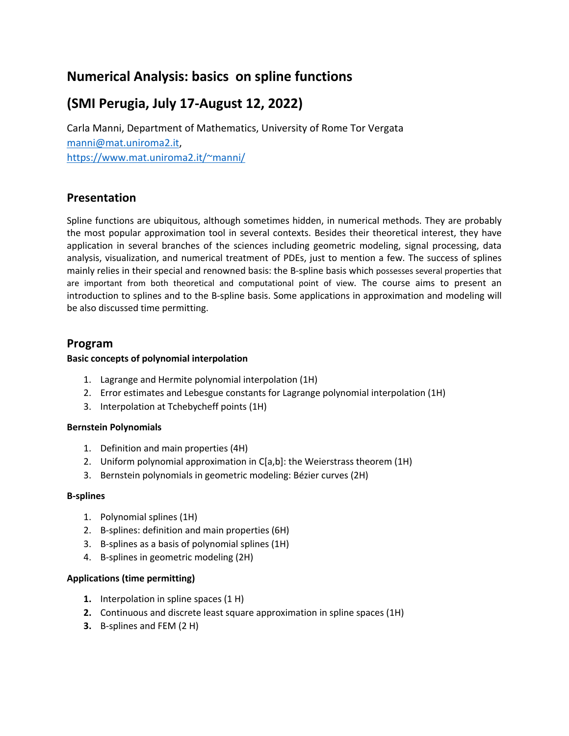# **Numerical Analysis: basics on spline functions**

# **(SMI Perugia, July 17-August 12, 2022)**

Carla Manni, Department of Mathematics, University of Rome Tor Vergata manni@mat.uniroma2.it, https://www.mat.uniroma2.it/~manni/

## **Presentation**

Spline functions are ubiquitous, although sometimes hidden, in numerical methods. They are probably the most popular approximation tool in several contexts. Besides their theoretical interest, they have application in several branches of the sciences including geometric modeling, signal processing, data analysis, visualization, and numerical treatment of PDEs, just to mention a few. The success of splines mainly relies in their special and renowned basis: the B-spline basis which possesses several properties that are important from both theoretical and computational point of view. The course aims to present an introduction to splines and to the B-spline basis. Some applications in approximation and modeling will be also discussed time permitting.

### **Program**

#### **Basic concepts of polynomial interpolation**

- 1. Lagrange and Hermite polynomial interpolation (1H)
- 2. Error estimates and Lebesgue constants for Lagrange polynomial interpolation (1H)
- 3. Interpolation at Tchebycheff points (1H)

#### **Bernstein Polynomials**

- 1. Definition and main properties (4H)
- 2. Uniform polynomial approximation in C[a,b]: the Weierstrass theorem (1H)
- 3. Bernstein polynomials in geometric modeling: Bézier curves (2H)

#### **B-splines**

- 1. Polynomial splines (1H)
- 2. B-splines: definition and main properties (6H)
- 3. B-splines as a basis of polynomial splines (1H)
- 4. B-splines in geometric modeling (2H)

#### **Applications (time permitting)**

- **1.** Interpolation in spline spaces (1 H)
- **2.** Continuous and discrete least square approximation in spline spaces (1H)
- **3.** B-splines and FEM (2 H)